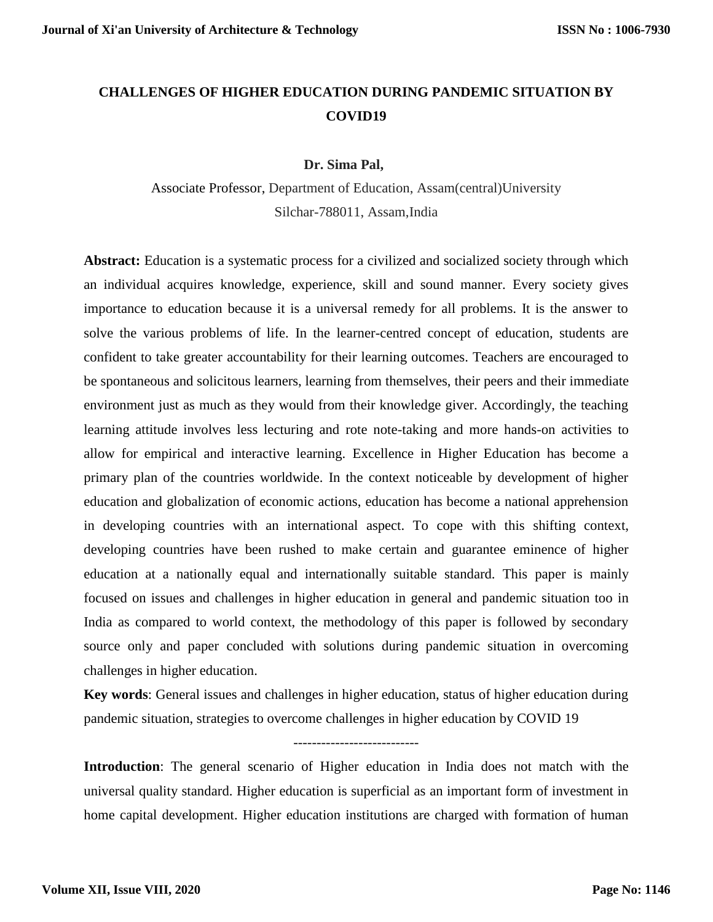# **CHALLENGES OF HIGHER EDUCATION DURING PANDEMIC SITUATION BY COVID19**

### **Dr. Sima Pal,**

Associate Professor, Department of Education, Assam(central)University Silchar-788011, Assam,India

**Abstract:** Education is a systematic process for a civilized and socialized society through which an individual acquires knowledge, experience, skill and sound manner. Every society gives importance to education because it is a universal remedy for all problems. It is the answer to solve the various problems of life. In the learner-centred concept of education, students are confident to take greater accountability for their learning outcomes. Teachers are encouraged to be spontaneous and solicitous learners, learning from themselves, their peers and their immediate environment just as much as they would from their knowledge giver. Accordingly, the teaching learning attitude involves less lecturing and rote note-taking and more hands-on activities to allow for empirical and interactive learning. Excellence in Higher Education has become a primary plan of the countries worldwide. In the context noticeable by development of higher education and globalization of economic actions, education has become a national apprehension in developing countries with an international aspect. To cope with this shifting context, developing countries have been rushed to make certain and guarantee eminence of higher education at a nationally equal and internationally suitable standard. This paper is mainly focused on issues and challenges in higher education in general and pandemic situation too in India as compared to world context, the methodology of this paper is followed by secondary source only and paper concluded with solutions during pandemic situation in overcoming challenges in higher education.

**Key words**: General issues and challenges in higher education, status of higher education during pandemic situation, strategies to overcome challenges in higher education by COVID 19

---------------------------

**Introduction**: The general scenario of Higher education in India does not match with the universal quality standard. Higher education is superficial as an important form of investment in home capital development. Higher education institutions are charged with formation of human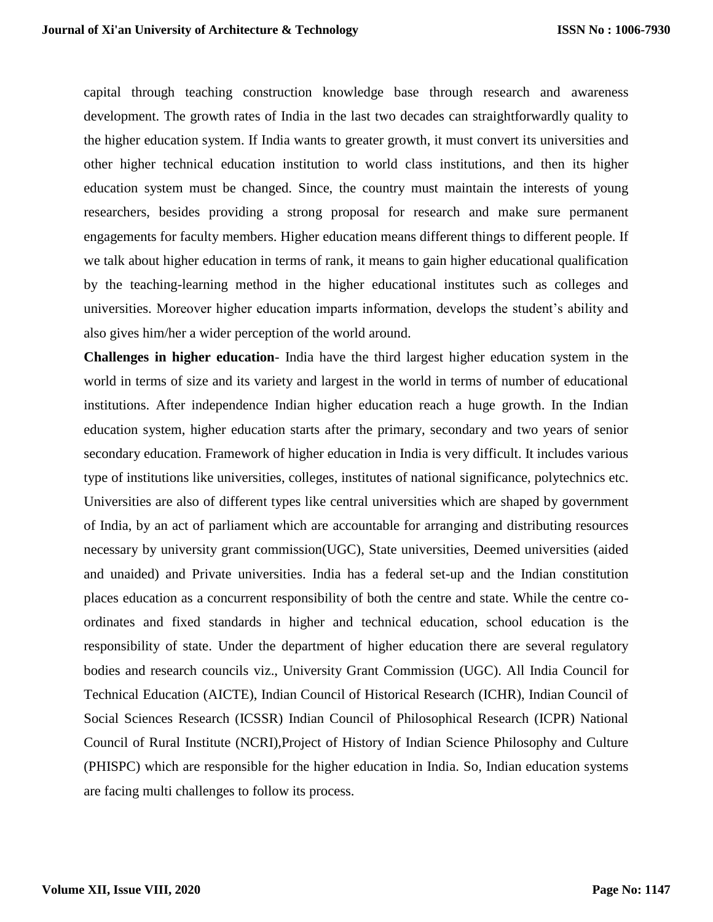capital through teaching construction knowledge base through research and awareness development. The growth rates of India in the last two decades can straightforwardly quality to the higher education system. If India wants to greater growth, it must convert its universities and other higher technical education institution to world class institutions, and then its higher education system must be changed. Since, the country must maintain the interests of young researchers, besides providing a strong proposal for research and make sure permanent engagements for faculty members. Higher education means different things to different people. If we talk about higher education in terms of rank, it means to gain higher educational qualification by the teaching-learning method in the higher educational institutes such as colleges and universities. Moreover higher education imparts information, develops the student's ability and also gives him/her a wider perception of the world around.

**Challenges in higher education**- India have the third largest higher education system in the world in terms of size and its variety and largest in the world in terms of number of educational institutions. After independence Indian higher education reach a huge growth. In the Indian education system, higher education starts after the primary, secondary and two years of senior secondary education. Framework of higher education in India is very difficult. It includes various type of institutions like universities, colleges, institutes of national significance, polytechnics etc. Universities are also of different types like central universities which are shaped by government of India, by an act of parliament which are accountable for arranging and distributing resources necessary by university grant commission(UGC), State universities, Deemed universities (aided and unaided) and Private universities. India has a federal set-up and the Indian constitution places education as a concurrent responsibility of both the centre and state. While the centre coordinates and fixed standards in higher and technical education, school education is the responsibility of state. Under the department of higher education there are several regulatory bodies and research councils viz., University Grant Commission (UGC). All India Council for Technical Education (AICTE), Indian Council of Historical Research (ICHR), Indian Council of Social Sciences Research (ICSSR) Indian Council of Philosophical Research (ICPR) National Council of Rural Institute (NCRI),Project of History of Indian Science Philosophy and Culture (PHISPC) which are responsible for the higher education in India. So, Indian education systems are facing multi challenges to follow its process.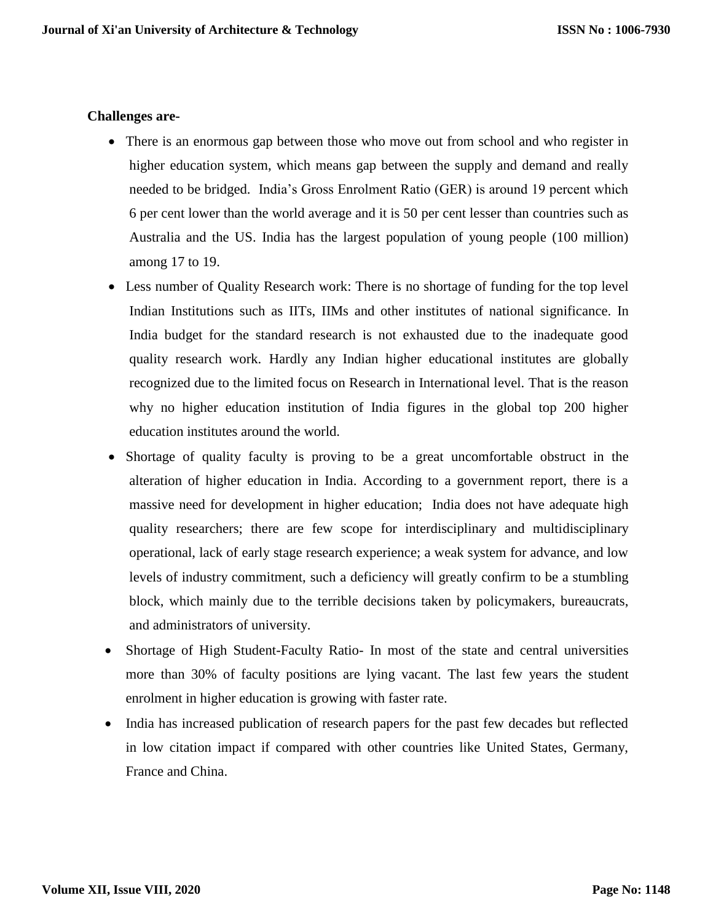# **Challenges are-**

- There is an enormous gap between those who move out from school and who register in higher education system, which means gap between the supply and demand and really needed to be bridged. India's Gross Enrolment Ratio (GER) is around 19 percent which 6 per cent lower than the world average and it is 50 per cent lesser than countries such as Australia and the US. India has the largest population of young people (100 million) among 17 to 19.
- Less number of Quality Research work: There is no shortage of funding for the top level Indian Institutions such as IITs, IIMs and other institutes of national significance. In India budget for the standard research is not exhausted due to the inadequate good quality research work. Hardly any Indian higher educational institutes are globally recognized due to the limited focus on Research in International level. That is the reason why no higher education institution of India figures in the global top 200 higher education institutes around the world.
- Shortage of quality faculty is proving to be a great uncomfortable obstruct in the alteration of higher education in India. According to a government report, there is a massive need for development in higher education; India does not have adequate high quality researchers; there are few scope for interdisciplinary and multidisciplinary operational, lack of early stage research experience; a weak system for advance, and low levels of industry commitment, such a deficiency will greatly confirm to be a stumbling block, which mainly due to the terrible decisions taken by policymakers, bureaucrats, and administrators of university.
- Shortage of High Student-Faculty Ratio- In most of the state and central universities more than 30% of faculty positions are lying vacant. The last few years the student enrolment in higher education is growing with faster rate.
- India has increased publication of research papers for the past few decades but reflected in low citation impact if compared with other countries like United States, Germany, France and China.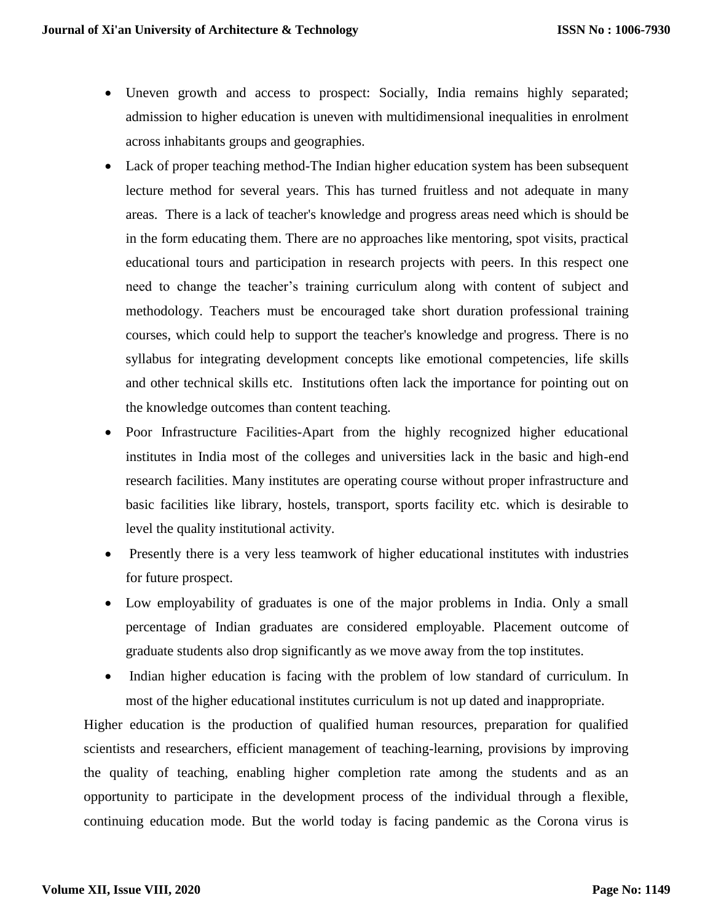- Uneven growth and access to prospect: Socially, India remains highly separated; admission to higher education is uneven with multidimensional inequalities in enrolment across inhabitants groups and geographies.
- Lack of proper teaching method-The Indian higher education system has been subsequent lecture method for several years. This has turned fruitless and not adequate in many areas. There is a lack of teacher's knowledge and progress areas need which is should be in the form educating them. There are no approaches like mentoring, spot visits, practical educational tours and participation in research projects with peers. In this respect one need to change the teacher's training curriculum along with content of subject and methodology. Teachers must be encouraged take short duration professional training courses, which could help to support the teacher's knowledge and progress. There is no syllabus for integrating development concepts like emotional competencies, life skills and other technical skills etc. Institutions often lack the importance for pointing out on the knowledge outcomes than content teaching.
- Poor Infrastructure Facilities-Apart from the highly recognized higher educational institutes in India most of the colleges and universities lack in the basic and high-end research facilities. Many institutes are operating course without proper infrastructure and basic facilities like library, hostels, transport, sports facility etc. which is desirable to level the quality institutional activity.
- Presently there is a very less teamwork of higher educational institutes with industries for future prospect.
- Low employability of graduates is one of the major problems in India. Only a small percentage of Indian graduates are considered employable. Placement outcome of graduate students also drop significantly as we move away from the top institutes.
- Indian higher education is facing with the problem of low standard of curriculum. In most of the higher educational institutes curriculum is not up dated and inappropriate.

Higher education is the production of qualified human resources, preparation for qualified scientists and researchers, efficient management of teaching-learning, provisions by improving the quality of teaching, enabling higher completion rate among the students and as an opportunity to participate in the development process of the individual through a flexible, continuing education mode. But the world today is facing pandemic as the Corona virus is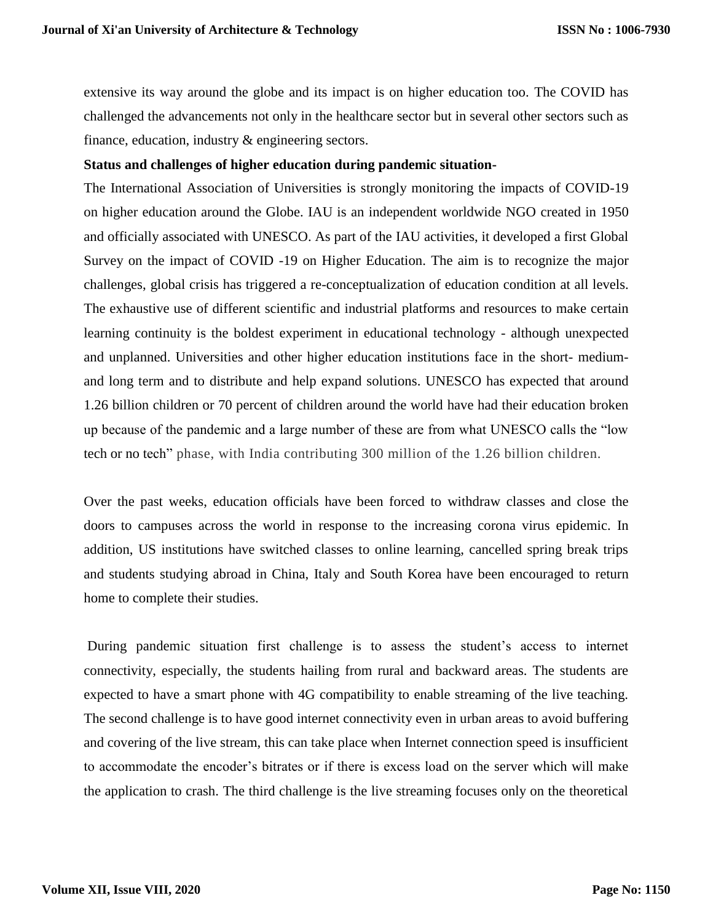extensive its way around the globe and its impact is on higher education too. The COVID has challenged the advancements not only in the healthcare sector but in several other sectors such as finance, education, industry & engineering sectors.

#### **Status and challenges of higher education during pandemic situation-**

The International Association of Universities is strongly monitoring the impacts of COVID-19 on higher education around the Globe. IAU is an independent worldwide NGO created in 1950 and officially associated with UNESCO. As part of the IAU activities, it developed a first Global Survey on the impact of COVID -19 on Higher Education. The aim is to recognize the major challenges, global crisis has triggered a re-conceptualization of education condition at all levels. The exhaustive use of different scientific and industrial platforms and resources to make certain learning continuity is the boldest experiment in educational technology - although unexpected and unplanned. Universities and other higher education institutions face in the short- mediumand long term and to distribute and help expand solutions. UNESCO has expected that around 1.26 billion children or 70 percent of children around the world have had their education broken up because of the pandemic and a large number of these are from what UNESCO calls the "low tech or no tech" phase, with India contributing 300 million of the 1.26 billion children.

Over the past weeks, education officials have been forced to withdraw classes and close the doors to campuses across the world in response to the increasing corona virus epidemic. In addition, US institutions have switched classes to online learning, cancelled spring break trips and students studying abroad in China, Italy and South Korea have been encouraged to return home to complete their studies.

During pandemic situation first challenge is to assess the student's access to internet connectivity, especially, the students hailing from rural and backward areas. The students are expected to have a smart phone with 4G compatibility to enable streaming of the live teaching. The second challenge is to have good internet connectivity even in urban areas to avoid buffering and covering of the live stream, this can take place when Internet connection speed is insufficient to accommodate the encoder's bitrates or if there is excess load on the server which will make the application to crash. The third challenge is the live streaming focuses only on the theoretical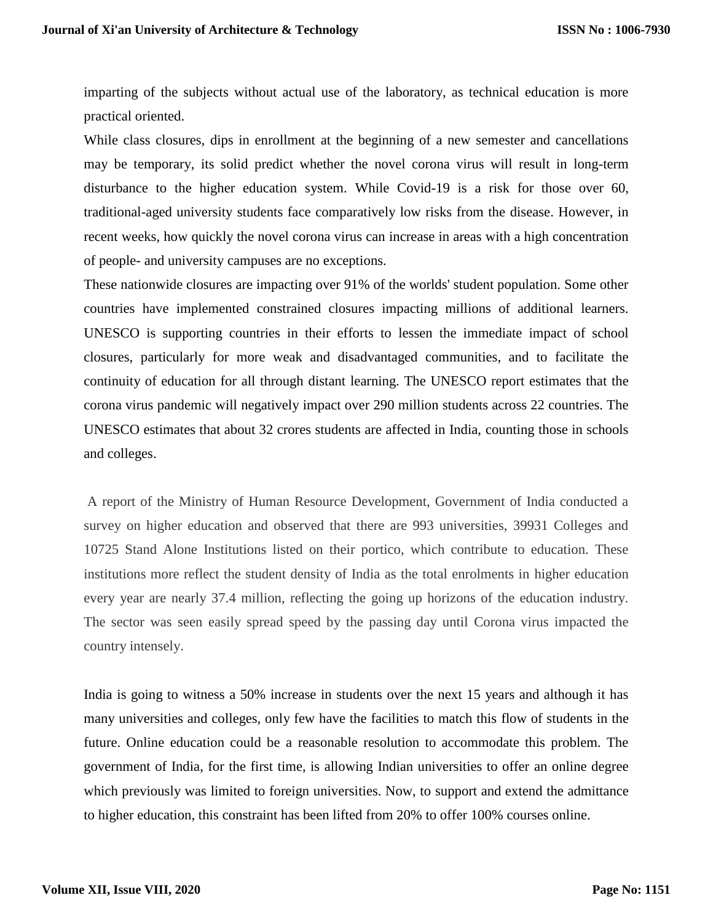imparting of the subjects without actual use of the laboratory, as technical education is more practical oriented.

While class closures, dips in enrollment at the beginning of a new semester and cancellations may be temporary, its solid predict whether the novel corona virus will result in long-term disturbance to the higher education system. While Covid-19 is a risk for those over 60, traditional-aged university students face comparatively low risks from the disease. However, in recent weeks, how quickly the novel corona virus can increase in areas with a high concentration of people- and university campuses are no exceptions.

These nationwide closures are impacting over 91% of the worlds' student population. Some other countries have implemented constrained closures impacting millions of additional learners. UNESCO is supporting countries in their efforts to lessen the immediate impact of school closures, particularly for more weak and disadvantaged communities, and to facilitate the continuity of education for all through distant learning. The UNESCO report estimates that the corona virus pandemic will negatively impact over 290 million students across 22 countries. The UNESCO estimates that about 32 crores students are affected in India, counting those in schools and colleges.

A report of the Ministry of Human Resource Development, Government of India conducted a survey on higher education and observed that there are 993 universities, 39931 Colleges and 10725 Stand Alone Institutions listed on their portico, which contribute to education. These institutions more reflect the student density of India as the total enrolments in higher education every year are nearly 37.4 million, reflecting the going up horizons of the education industry. The sector was seen easily spread speed by the passing day until Corona virus impacted the country intensely.

India is going to witness a 50% increase in students over the next 15 years and although it has many universities and colleges, only few have the facilities to match this flow of students in the future. Online education could be a reasonable resolution to accommodate this problem. The government of India, for the first time, is allowing Indian universities to offer an online degree which previously was limited to foreign universities. Now, to support and extend the admittance to higher education, this constraint has been lifted from 20% to offer 100% courses online.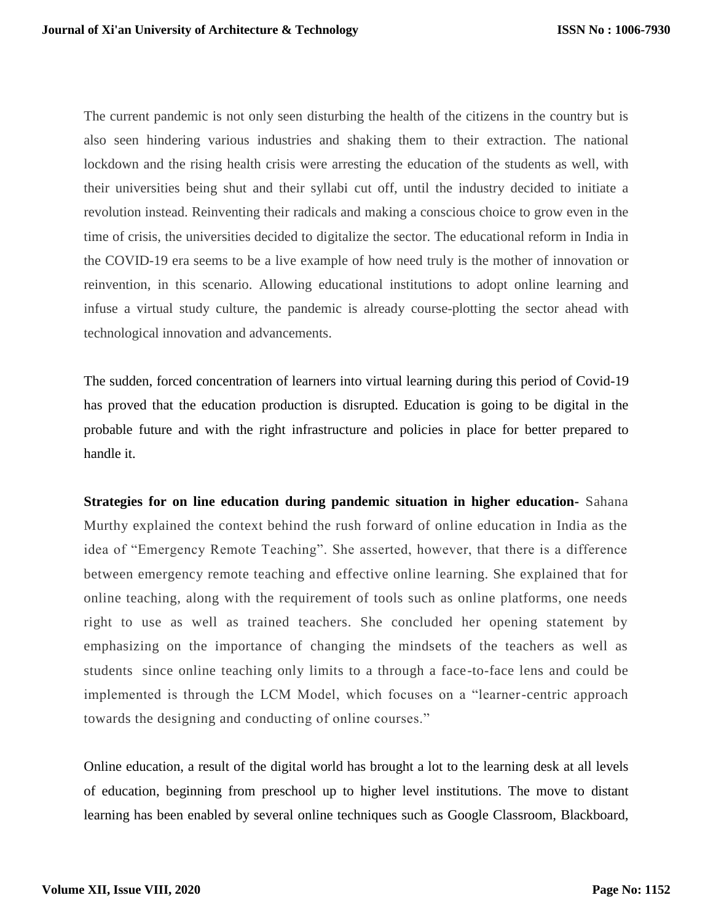The current pandemic is not only seen disturbing the health of the citizens in the country but is also seen hindering various industries and shaking them to their extraction. The national lockdown and the rising health crisis were arresting the education of the students as well, with their universities being shut and their syllabi cut off, until the industry decided to initiate a revolution instead. Reinventing their radicals and making a conscious choice to grow even in the time of crisis, the universities decided to digitalize the sector. The educational reform in India in the COVID-19 era seems to be a live example of how need truly is the mother of innovation or reinvention, in this scenario. Allowing educational institutions to adopt online learning and infuse a virtual study culture, the pandemic is already course-plotting the sector ahead with technological innovation and advancements.

The sudden, forced concentration of learners into virtual learning during this period of Covid-19 has proved that the education production is disrupted. Education is going to be digital in the probable future and with the right infrastructure and policies in place for better prepared to handle it.

**Strategies for on line education during pandemic situation in higher education-** Sahana Murthy explained the context behind the rush forward of online education in India as the idea of "Emergency Remote Teaching". She asserted, however, that there is a difference between emergency remote teaching and effective online learning. She explained that for online teaching, along with the requirement of tools such as online platforms, one needs right to use as well as trained teachers. She concluded her opening statement by emphasizing on the importance of changing the mindsets of the teachers as well as students since online teaching only limits to a through a face-to-face lens and could be implemented is through the LCM Model, which focuses on a "learner-centric approach towards the designing and conducting of online courses."

Online education, a result of the digital world has brought a lot to the learning desk at all levels of education, beginning from preschool up to higher level institutions. The move to distant learning has been enabled by several online techniques such as Google Classroom, Blackboard,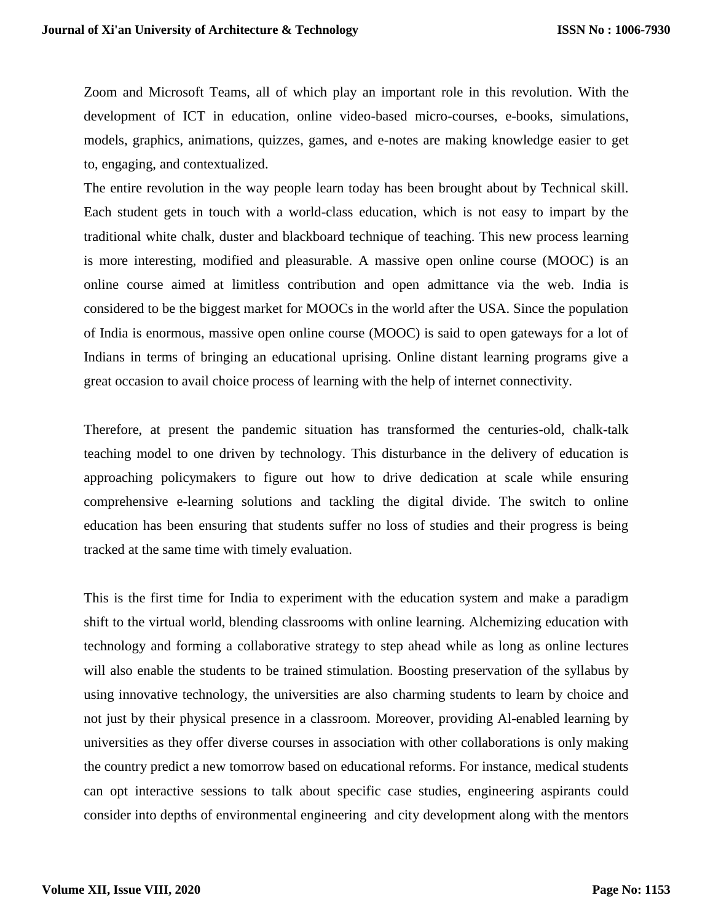Zoom and Microsoft Teams, all of which play an important role in this revolution. With the development of ICT in education, online video-based micro-courses, e-books, simulations, models, graphics, animations, quizzes, games, and e-notes are making knowledge easier to get to, engaging, and contextualized.

The entire revolution in the way people learn today has been brought about by Technical skill. Each student gets in touch with a world-class education, which is not easy to impart by the traditional white chalk, duster and blackboard technique of teaching. This new process learning is more interesting, modified and pleasurable. A massive open online course (MOOC) is an online course aimed at limitless contribution and open admittance via the web. India is considered to be the biggest market for MOOCs in the world after the USA. Since the population of India is enormous, massive open online course (MOOC) is said to open gateways for a lot of Indians in terms of bringing an educational uprising. Online distant learning programs give a great occasion to avail choice process of learning with the help of internet connectivity.

Therefore, at present the pandemic situation has transformed the centuries-old, chalk-talk teaching model to one driven by technology. This disturbance in the delivery of education is approaching policymakers to figure out how to drive dedication at scale while ensuring comprehensive e-learning solutions and tackling the digital divide. The switch to online education has been ensuring that students suffer no loss of studies and their progress is being tracked at the same time with timely evaluation.

This is the first time for India to experiment with the education system and make a paradigm shift to the virtual world, blending classrooms with online learning. Alchemizing education with technology and forming a collaborative strategy to step ahead while as long as online lectures will also enable the students to be trained stimulation. Boosting preservation of the syllabus by using innovative technology, the universities are also charming students to learn by choice and not just by their physical presence in a classroom. Moreover, providing Al-enabled learning by universities as they offer diverse courses in association with other collaborations is only making the country predict a new tomorrow based on educational reforms. For instance, medical students can opt interactive sessions to talk about specific case studies, engineering aspirants could consider into depths of environmental engineering and city development along with the mentors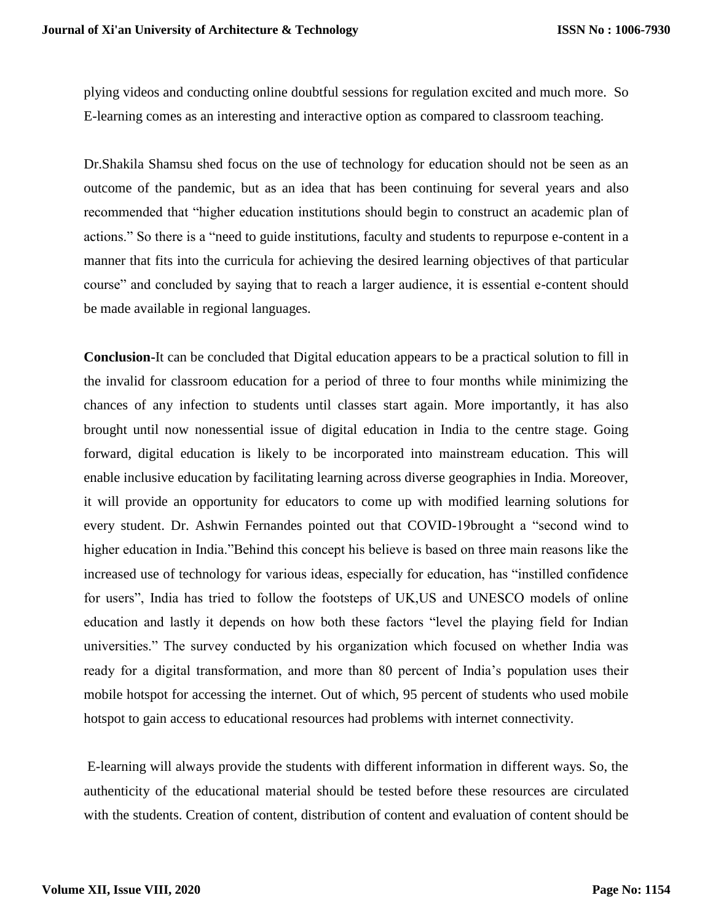plying videos and conducting online doubtful sessions for regulation excited and much more. So E-learning comes as an interesting and interactive option as compared to classroom teaching.

Dr.Shakila Shamsu shed focus on the use of technology for education should not be seen as an outcome of the pandemic, but as an idea that has been continuing for several years and also recommended that "higher education institutions should begin to construct an academic plan of actions." So there is a "need to guide institutions, faculty and students to repurpose e-content in a manner that fits into the curricula for achieving the desired learning objectives of that particular course" and concluded by saying that to reach a larger audience, it is essential e-content should be made available in regional languages.

**Conclusion-**It can be concluded that Digital education appears to be a practical solution to fill in the invalid for classroom education for a period of three to four months while minimizing the chances of any infection to students until classes start again. More importantly, it has also brought until now nonessential issue of digital education in India to the centre stage. Going forward, digital education is likely to be incorporated into mainstream education. This will enable inclusive education by facilitating learning across diverse geographies in India. Moreover, it will provide an opportunity for educators to come up with modified learning solutions for every student. Dr. Ashwin Fernandes pointed out that COVID-19brought a "second wind to higher education in India."Behind this concept his believe is based on three main reasons like the increased use of technology for various ideas, especially for education, has "instilled confidence for users", India has tried to follow the footsteps of UK,US and UNESCO models of online education and lastly it depends on how both these factors "level the playing field for Indian universities." The survey conducted by his organization which focused on whether India was ready for a digital transformation, and more than 80 percent of India's population uses their mobile hotspot for accessing the internet. Out of which, 95 percent of students who used mobile hotspot to gain access to educational resources had problems with internet connectivity.

E-learning will always provide the students with different information in different ways. So, the authenticity of the educational material should be tested before these resources are circulated with the students. Creation of content, distribution of content and evaluation of content should be